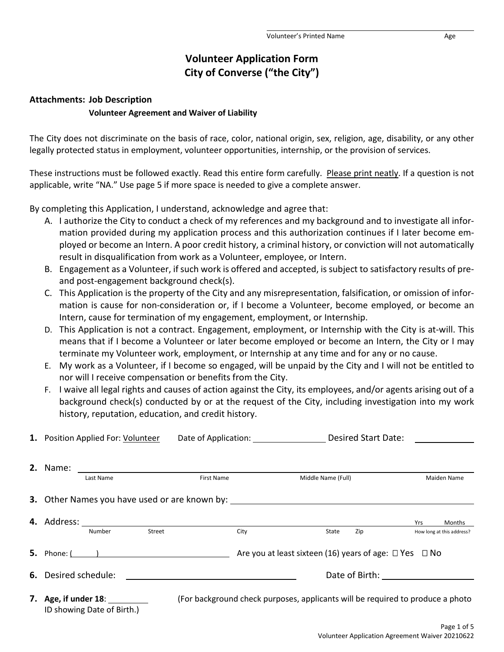# **Volunteer Application Form City of Converse ("the City")**

#### **Attachments: Job Description**

#### **Volunteer Agreement and Waiver of Liability**

The City does not discriminate on the basis of race, color, national origin, sex, religion, age, disability, or any other legally protected status in employment, volunteer opportunities, internship, or the provision of services.

These instructions must be followed exactly. Read this entire form carefully. Please print neatly. If a question is not applicable, write "NA." Use page 5 if more space is needed to give a complete answer.

By completing this Application, I understand, acknowledge and agree that:

- A. I authorize the City to conduct a check of my references and my background and to investigate all information provided during my application process and this authorization continues if I later become employed or become an Intern. A poor credit history, a criminal history, or conviction will not automatically result in disqualification from work as a Volunteer, employee, or Intern.
- B. Engagement as a Volunteer, if such work is offered and accepted, is subject to satisfactory results of preand post-engagement background check(s).
- C. This Application is the property of the City and any misrepresentation, falsification, or omission of information is cause for non-consideration or, if I become a Volunteer, become employed, or become an Intern, cause for termination of my engagement, employment, or Internship.
- D. This Application is not a contract. Engagement, employment, or Internship with the City is at-will. This means that if I become a Volunteer or later become employed or become an Intern, the City or I may terminate my Volunteer work, employment, or Internship at any time and for any or no cause.
- E. My work as a Volunteer, if I become so engaged, will be unpaid by the City and I will not be entitled to nor will I receive compensation or benefits from the City.
- F. I waive all legal rights and causes of action against the City, its employees, and/or agents arising out of a background check(s) conducted by or at the request of the City, including investigation into my work history, reputation, education, and credit history.

| 1. Position Applied For: Volunteer                                                        |                                                    |                                                                                  | Date of Application: |                                                                                | Desired Start Date: |     |  |             |                                     |
|-------------------------------------------------------------------------------------------|----------------------------------------------------|----------------------------------------------------------------------------------|----------------------|--------------------------------------------------------------------------------|---------------------|-----|--|-------------|-------------------------------------|
|                                                                                           | <b>First Name</b><br>Last Name                     |                                                                                  |                      | Middle Name (Full)                                                             |                     |     |  | Maiden Name |                                     |
|                                                                                           |                                                    | 3. Other Names you have used or are known by: __________________________________ |                      |                                                                                |                     |     |  |             |                                     |
|                                                                                           | Number                                             | Street                                                                           | City                 |                                                                                | State               | Zip |  | Yrs         | Months<br>How long at this address? |
|                                                                                           |                                                    | <b>5.</b> Phone: $($ $)$                                                         |                      | Are you at least sixteen (16) years of age: $\Box$ Yes $\Box$ No               |                     |     |  |             |                                     |
| <b>6.</b> Desired schedule:<br><u> 1989 - John Stein, Amerikaansk politiker (</u> † 1920) |                                                    |                                                                                  |                      |                                                                                |                     |     |  |             |                                     |
|                                                                                           | 7. Age, if under 18:<br>ID showing Date of Birth.) |                                                                                  |                      | (For background check purposes, applicants will be required to produce a photo |                     |     |  |             |                                     |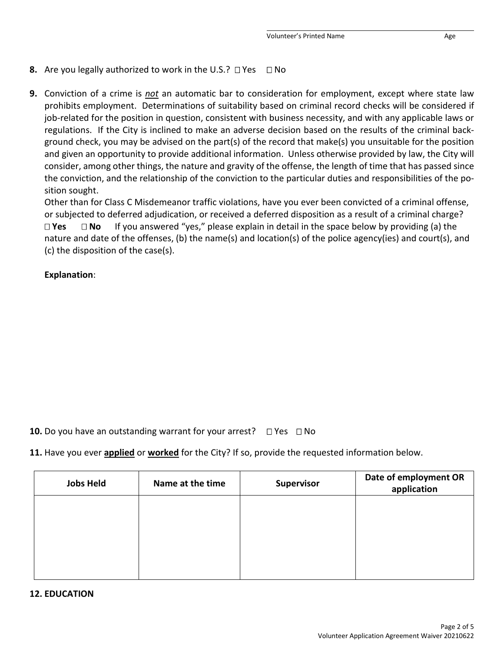### **8.** Are you legally authorized to work in the U.S.?  $\Box$  Yes  $\Box$  No

**9.** Conviction of a crime is *not* an automatic bar to consideration for employment, except where state law prohibits employment. Determinations of suitability based on criminal record checks will be considered if job-related for the position in question, consistent with business necessity, and with any applicable laws or regulations. If the City is inclined to make an adverse decision based on the results of the criminal background check, you may be advised on the part(s) of the record that make(s) you unsuitable for the position and given an opportunity to provide additional information. Unless otherwise provided by law, the City will consider, among other things, the nature and gravity of the offense, the length of time that has passed since the conviction, and the relationship of the conviction to the particular duties and responsibilities of the position sought.

Other than for Class C Misdemeanor traffic violations, have you ever been convicted of a criminal offense, or subjected to deferred adjudication, or received a deferred disposition as a result of a criminal charge?

 **Yes No** If you answered "yes," please explain in detail in the space below by providing (a) the nature and date of the offenses, (b) the name(s) and location(s) of the police agency(ies) and court(s), and (c) the disposition of the case(s).

### **Explanation**:

**10.** Do you have an outstanding warrant for your arrest?  $\Box$  Yes  $\Box$  No

**11.** Have you ever **applied** or **worked** for the City? If so, provide the requested information below.

| <b>Jobs Held</b> | Name at the time | <b>Supervisor</b> | Date of employment OR<br>application |  |  |
|------------------|------------------|-------------------|--------------------------------------|--|--|
|                  |                  |                   |                                      |  |  |
|                  |                  |                   |                                      |  |  |
|                  |                  |                   |                                      |  |  |
|                  |                  |                   |                                      |  |  |

#### **12. EDUCATION**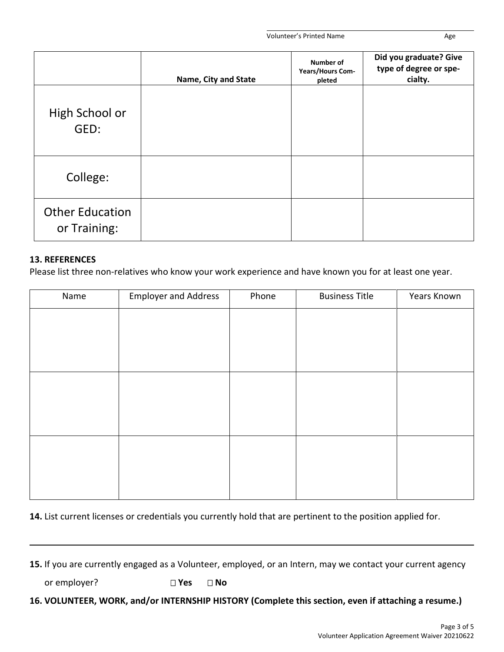|                                        | Name, City and State | Number of<br>Years/Hours Com-<br>pleted | Did you graduate? Give<br>type of degree or spe-<br>cialty. |
|----------------------------------------|----------------------|-----------------------------------------|-------------------------------------------------------------|
| High School or<br>GED:                 |                      |                                         |                                                             |
| College:                               |                      |                                         |                                                             |
| <b>Other Education</b><br>or Training: |                      |                                         |                                                             |

### **13. REFERENCES**

Please list three non-relatives who know your work experience and have known you for at least one year.

| Name | <b>Employer and Address</b> | Phone | <b>Business Title</b> | Years Known |
|------|-----------------------------|-------|-----------------------|-------------|
|      |                             |       |                       |             |
|      |                             |       |                       |             |
|      |                             |       |                       |             |
|      |                             |       |                       |             |
|      |                             |       |                       |             |
|      |                             |       |                       |             |
|      |                             |       |                       |             |
|      |                             |       |                       |             |
|      |                             |       |                       |             |
|      |                             |       |                       |             |
|      |                             |       |                       |             |

**14.** List current licenses or credentials you currently hold that are pertinent to the position applied for.

**15.** If you are currently engaged as a Volunteer, employed, or an Intern, may we contact your current agency

or employer? **DYes DNo** 

**16. VOLUNTEER, WORK, and/or INTERNSHIP HISTORY (Complete this section, even if attaching a resume.)**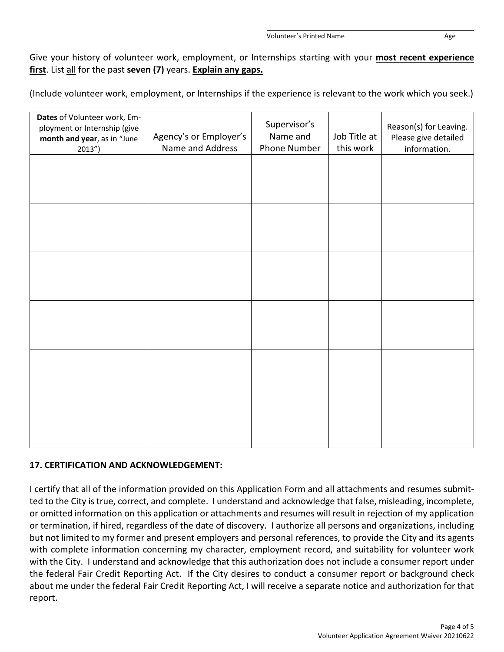Give your history of volunteer work, employment, or Internships starting with your **most recent experience first**. List all for the past **seven (7)** years. **Explain any gaps.**

(Include volunteer work, employment, or Internships if the experience is relevant to the work which you seek.)

| Dates of Volunteer work, Em-<br>ployment or Internship (give<br>month and year, as in "June<br>$2013'$ ) | Agency's or Employer's<br>Name and Address | Supervisor's<br>Name and<br>Phone Number | Job Title at<br>this work | Reason(s) for Leaving.<br>Please give detailed<br>information. |
|----------------------------------------------------------------------------------------------------------|--------------------------------------------|------------------------------------------|---------------------------|----------------------------------------------------------------|
|                                                                                                          |                                            |                                          |                           |                                                                |
|                                                                                                          |                                            |                                          |                           |                                                                |
|                                                                                                          |                                            |                                          |                           |                                                                |
|                                                                                                          |                                            |                                          |                           |                                                                |
|                                                                                                          |                                            |                                          |                           |                                                                |
|                                                                                                          |                                            |                                          |                           |                                                                |
|                                                                                                          |                                            |                                          |                           |                                                                |

# **17. CERTIFICATION AND ACKNOWLEDGEMENT:**

I certify that all of the information provided on this Application Form and all attachments and resumes submitted to the City is true, correct, and complete. I understand and acknowledge that false, misleading, incomplete, or omitted information on this application or attachments and resumes will result in rejection of my application or termination, if hired, regardless of the date of discovery. I authorize all persons and organizations, including but not limited to my former and present employers and personal references, to provide the City and its agents with complete information concerning my character, employment record, and suitability for volunteer work with the City. I understand and acknowledge that this authorization does not include a consumer report under the federal Fair Credit Reporting Act. If the City desires to conduct a consumer report or background check about me under the federal Fair Credit Reporting Act, I will receive a separate notice and authorization for that report.